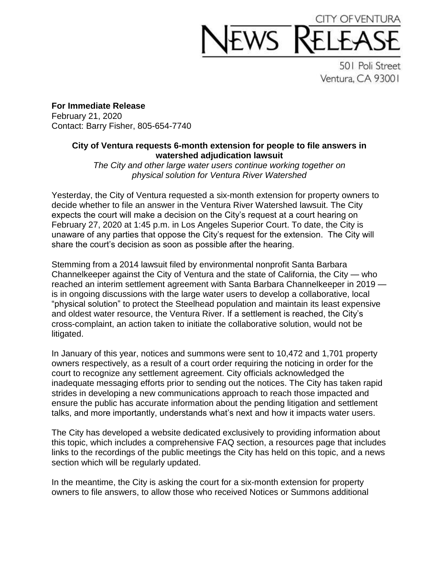## CITY OF VENT

501 Poli Street Ventura, CA 93001

**For Immediate Release** February 21, 2020 Contact: Barry Fisher, 805-654-7740

## **City of Ventura requests 6-month extension for people to file answers in watershed adjudication lawsuit**

*The City and other large water users continue working together on physical solution for Ventura River Watershed*

Yesterday, the City of Ventura requested a six-month extension for property owners to decide whether to file an answer in the Ventura River Watershed lawsuit. The City expects the court will make a decision on the City's request at a court hearing on February 27, 2020 at 1:45 p.m. in Los Angeles Superior Court. To date, the City is unaware of any parties that oppose the City's request for the extension. The City will share the court's decision as soon as possible after the hearing.

Stemming from a 2014 lawsuit filed by environmental nonprofit Santa Barbara Channelkeeper against the City of Ventura and the state of California, the City — who reached an interim settlement agreement with Santa Barbara Channelkeeper in 2019 is in ongoing discussions with the large water users to develop a collaborative, local "physical solution" to protect the Steelhead population and maintain its least expensive and oldest water resource, the Ventura River. If a settlement is reached, the City's cross-complaint, an action taken to initiate the collaborative solution, would not be litigated.

In January of this year, notices and summons were sent to 10,472 and 1,701 property owners respectively, as a result of a court order requiring the noticing in order for the court to recognize any settlement agreement. City officials acknowledged the inadequate messaging efforts prior to sending out the notices. The City has taken rapid strides in developing a new communications approach to reach those impacted and ensure the public has accurate information about the pending litigation and settlement talks, and more importantly, understands what's next and how it impacts water users.

The City has developed a website dedicated exclusively to providing information about this topic, which includes a comprehensive FAQ section, a resources page that includes links to the recordings of the public meetings the City has held on this topic, and a news section which will be regularly updated.

In the meantime, the City is asking the court for a six-month extension for property owners to file answers, to allow those who received Notices or Summons additional